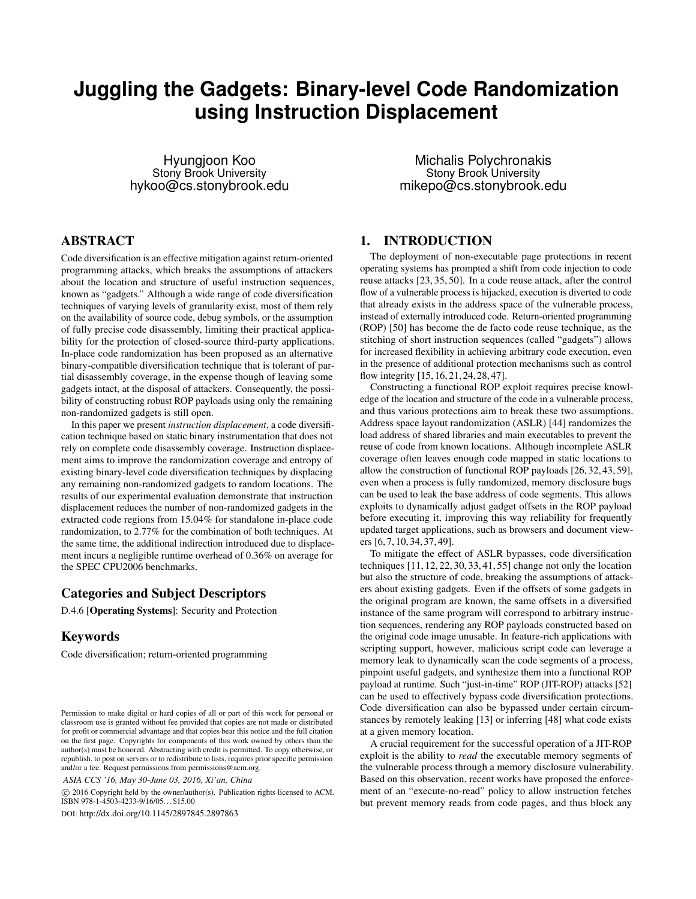# **Juggling the Gadgets: Binary-level Code Randomization using Instruction Displacement**

Hyungjoon Koo Stony Brook University hykoo@cs.stonybrook.edu

# ABSTRACT

Code diversification is an effective mitigation against return-oriented programming attacks, which breaks the assumptions of attackers about the location and structure of useful instruction sequences, known as "gadgets." Although a wide range of code diversification techniques of varying levels of granularity exist, most of them rely on the availability of source code, debug symbols, or the assumption of fully precise code disassembly, limiting their practical applicability for the protection of closed-source third-party applications. In-place code randomization has been proposed as an alternative binary-compatible diversification technique that is tolerant of partial disassembly coverage, in the expense though of leaving some gadgets intact, at the disposal of attackers. Consequently, the possibility of constructing robust ROP payloads using only the remaining non-randomized gadgets is still open.

In this paper we present *instruction displacement*, a code diversification technique based on static binary instrumentation that does not rely on complete code disassembly coverage. Instruction displacement aims to improve the randomization coverage and entropy of existing binary-level code diversification techniques by displacing any remaining non-randomized gadgets to random locations. The results of our experimental evaluation demonstrate that instruction displacement reduces the number of non-randomized gadgets in the extracted code regions from 15.04% for standalone in-place code randomization, to 2.77% for the combination of both techniques. At the same time, the additional indirection introduced due to displacement incurs a negligible runtime overhead of 0.36% on average for the SPEC CPU2006 benchmarks.

## Categories and Subject Descriptors

D.4.6 [Operating Systems]: Security and Protection

# Keywords

Code diversification; return-oriented programming

*ASIA CCS '16, May 30-June 03, 2016, Xi'an, China*

 c 2016 Copyright held by the owner/author(s). Publication rights licensed to ACM. ISBN 978-1-4503-4233-9/16/05. . . \$15.00

DOI: http://dx.doi.org/10.1145/2897845.2897863

Michalis Polychronakis Stony Brook University mikepo@cs.stonybrook.edu

# 1. INTRODUCTION

The deployment of non-executable page protections in recent operating systems has prompted a shift from code injection to code reuse attacks [\[23,](#page-10-0) [35,](#page-11-0) [50\]](#page-11-1). In a code reuse attack, after the control flow of a vulnerable process is hijacked, execution is diverted to code that already exists in the address space of the vulnerable process, instead of externally introduced code. Return-oriented programming (ROP) [\[50\]](#page-11-1) has become the de facto code reuse technique, as the stitching of short instruction sequences (called "gadgets") allows for increased flexibility in achieving arbitrary code execution, even in the presence of additional protection mechanisms such as control flow integrity [\[15,](#page-10-1) [16,](#page-10-2) [21,](#page-10-3) [24,](#page-10-4) [28,](#page-10-5) [47\]](#page-11-2).

Constructing a functional ROP exploit requires precise knowledge of the location and structure of the code in a vulnerable process, and thus various protections aim to break these two assumptions. Address space layout randomization (ASLR) [\[44\]](#page-11-3) randomizes the load address of shared libraries and main executables to prevent the reuse of code from known locations. Although incomplete ASLR coverage often leaves enough code mapped in static locations to allow the construction of functional ROP payloads [\[26,](#page-10-6) [32,](#page-11-4) [43,](#page-11-5) [59\]](#page-11-6), even when a process is fully randomized, memory disclosure bugs can be used to leak the base address of code segments. This allows exploits to dynamically adjust gadget offsets in the ROP payload before executing it, improving this way reliability for frequently updated target applications, such as browsers and document viewers [\[6,](#page-10-7) [7,](#page-10-8) [10,](#page-10-9) [34,](#page-11-7) [37,](#page-11-8) [49\]](#page-11-9).

To mitigate the effect of ASLR bypasses, code diversification techniques [\[11,](#page-10-10) [12,](#page-10-11) [22,](#page-10-12) [30,](#page-11-10) [33,](#page-11-11) [41,](#page-11-12) [55\]](#page-11-13) change not only the location but also the structure of code, breaking the assumptions of attackers about existing gadgets. Even if the offsets of some gadgets in the original program are known, the same offsets in a diversified instance of the same program will correspond to arbitrary instruction sequences, rendering any ROP payloads constructed based on the original code image unusable. In feature-rich applications with scripting support, however, malicious script code can leverage a memory leak to dynamically scan the code segments of a process, pinpoint useful gadgets, and synthesize them into a functional ROP payload at runtime. Such "just-in-time" ROP (JIT-ROP) attacks [\[52\]](#page-11-14) can be used to effectively bypass code diversification protections. Code diversification can also be bypassed under certain circumstances by remotely leaking [\[13\]](#page-10-13) or inferring [\[48\]](#page-11-15) what code exists at a given memory location.

A crucial requirement for the successful operation of a JIT-ROP exploit is the ability to *read* the executable memory segments of the vulnerable process through a memory disclosure vulnerability. Based on this observation, recent works have proposed the enforcement of an "execute-no-read" policy to allow instruction fetches but prevent memory reads from code pages, and thus block any

Permission to make digital or hard copies of all or part of this work for personal or classroom use is granted without fee provided that copies are not made or distributed for profit or commercial advantage and that copies bear this notice and the full citation on the first page. Copyrights for components of this work owned by others than the author(s) must be honored. Abstracting with credit is permitted. To copy otherwise, or republish, to post on servers or to redistribute to lists, requires prior specific permission and/or a fee. Request permissions from permissions@acm.org.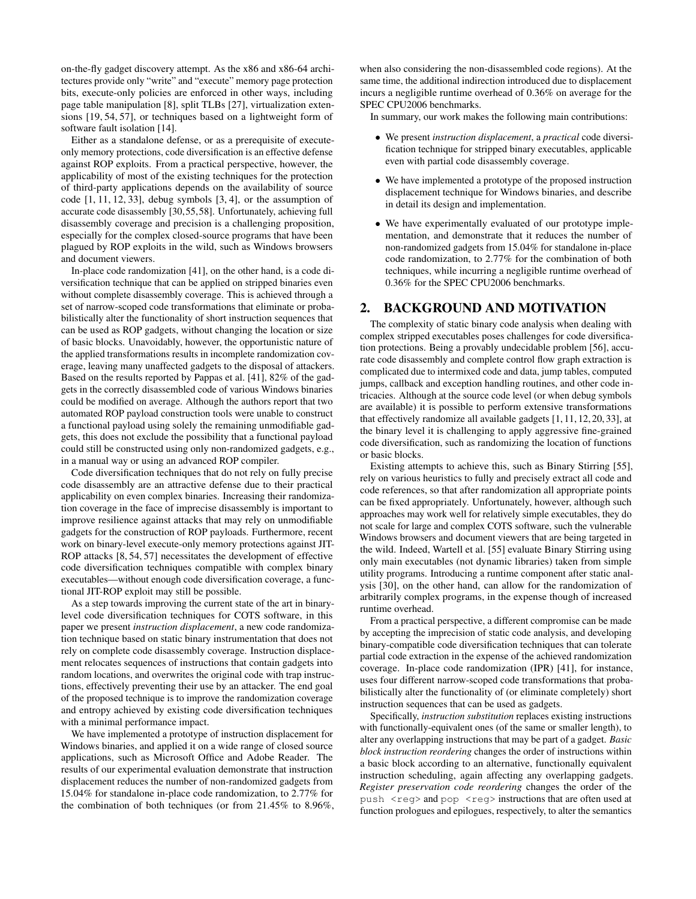on-the-fly gadget discovery attempt. As the x86 and x86-64 architectures provide only "write" and "execute" memory page protection bits, execute-only policies are enforced in other ways, including page table manipulation [\[8\]](#page-10-14), split TLBs [\[27\]](#page-10-15), virtualization extensions [\[19,](#page-10-16) [54,](#page-11-16) [57\]](#page-11-17), or techniques based on a lightweight form of software fault isolation [\[14\]](#page-10-17).

Either as a standalone defense, or as a prerequisite of executeonly memory protections, code diversification is an effective defense against ROP exploits. From a practical perspective, however, the applicability of most of the existing techniques for the protection of third-party applications depends on the availability of source code [\[1,](#page-10-18) [11,](#page-10-10) [12,](#page-10-11) [33\]](#page-11-11), debug symbols [\[3,](#page-10-19) [4\]](#page-10-20), or the assumption of accurate code disassembly [\[30,](#page-11-10)[55,](#page-11-13)[58\]](#page-11-18). Unfortunately, achieving full disassembly coverage and precision is a challenging proposition, especially for the complex closed-source programs that have been plagued by ROP exploits in the wild, such as Windows browsers and document viewers.

In-place code randomization [\[41\]](#page-11-12), on the other hand, is a code diversification technique that can be applied on stripped binaries even without complete disassembly coverage. This is achieved through a set of narrow-scoped code transformations that eliminate or probabilistically alter the functionality of short instruction sequences that can be used as ROP gadgets, without changing the location or size of basic blocks. Unavoidably, however, the opportunistic nature of the applied transformations results in incomplete randomization coverage, leaving many unaffected gadgets to the disposal of attackers. Based on the results reported by Pappas et al. [\[41\]](#page-11-12), 82% of the gadgets in the correctly disassembled code of various Windows binaries could be modified on average. Although the authors report that two automated ROP payload construction tools were unable to construct a functional payload using solely the remaining unmodifiable gadgets, this does not exclude the possibility that a functional payload could still be constructed using only non-randomized gadgets, e.g., in a manual way or using an advanced ROP compiler.

Code diversification techniques that do not rely on fully precise code disassembly are an attractive defense due to their practical applicability on even complex binaries. Increasing their randomization coverage in the face of imprecise disassembly is important to improve resilience against attacks that may rely on unmodifiable gadgets for the construction of ROP payloads. Furthermore, recent work on binary-level execute-only memory protections against JIT-ROP attacks [\[8,](#page-10-14) [54,](#page-11-16) [57\]](#page-11-17) necessitates the development of effective code diversification techniques compatible with complex binary executables—without enough code diversification coverage, a functional JIT-ROP exploit may still be possible.

As a step towards improving the current state of the art in binarylevel code diversification techniques for COTS software, in this paper we present *instruction displacement*, a new code randomization technique based on static binary instrumentation that does not rely on complete code disassembly coverage. Instruction displacement relocates sequences of instructions that contain gadgets into random locations, and overwrites the original code with trap instructions, effectively preventing their use by an attacker. The end goal of the proposed technique is to improve the randomization coverage and entropy achieved by existing code diversification techniques with a minimal performance impact.

We have implemented a prototype of instruction displacement for Windows binaries, and applied it on a wide range of closed source applications, such as Microsoft Office and Adobe Reader. The results of our experimental evaluation demonstrate that instruction displacement reduces the number of non-randomized gadgets from 15.04% for standalone in-place code randomization, to 2.77% for the combination of both techniques (or from 21.45% to 8.96%, when also considering the non-disassembled code regions). At the same time, the additional indirection introduced due to displacement incurs a negligible runtime overhead of 0.36% on average for the SPEC CPU2006 benchmarks.

In summary, our work makes the following main contributions:

- We present *instruction displacement*, a *practical* code diversification technique for stripped binary executables, applicable even with partial code disassembly coverage.
- We have implemented a prototype of the proposed instruction displacement technique for Windows binaries, and describe in detail its design and implementation.
- We have experimentally evaluated of our prototype implementation, and demonstrate that it reduces the number of non-randomized gadgets from 15.04% for standalone in-place code randomization, to 2.77% for the combination of both techniques, while incurring a negligible runtime overhead of 0.36% for the SPEC CPU2006 benchmarks.

## 2. BACKGROUND AND MOTIVATION

The complexity of static binary code analysis when dealing with complex stripped executables poses challenges for code diversification protections. Being a provably undecidable problem [\[56\]](#page-11-19), accurate code disassembly and complete control flow graph extraction is complicated due to intermixed code and data, jump tables, computed jumps, callback and exception handling routines, and other code intricacies. Although at the source code level (or when debug symbols are available) it is possible to perform extensive transformations that effectively randomize all available gadgets [\[1,](#page-10-18) [11,](#page-10-10) [12,](#page-10-11) [20,](#page-10-21) [33\]](#page-11-11), at the binary level it is challenging to apply aggressive fine-grained code diversification, such as randomizing the location of functions or basic blocks.

Existing attempts to achieve this, such as Binary Stirring [\[55\]](#page-11-13), rely on various heuristics to fully and precisely extract all code and code references, so that after randomization all appropriate points can be fixed appropriately. Unfortunately, however, although such approaches may work well for relatively simple executables, they do not scale for large and complex COTS software, such the vulnerable Windows browsers and document viewers that are being targeted in the wild. Indeed, Wartell et al. [\[55\]](#page-11-13) evaluate Binary Stirring using only main executables (not dynamic libraries) taken from simple utility programs. Introducing a runtime component after static analysis [\[30\]](#page-11-10), on the other hand, can allow for the randomization of arbitrarily complex programs, in the expense though of increased runtime overhead.

From a practical perspective, a different compromise can be made by accepting the imprecision of static code analysis, and developing binary-compatible code diversification techniques that can tolerate partial code extraction in the expense of the achieved randomization coverage. In-place code randomization (IPR) [\[41\]](#page-11-12), for instance, uses four different narrow-scoped code transformations that probabilistically alter the functionality of (or eliminate completely) short instruction sequences that can be used as gadgets.

Specifically, *instruction substitution* replaces existing instructions with functionally-equivalent ones (of the same or smaller length), to alter any overlapping instructions that may be part of a gadget. *Basic block instruction reordering* changes the order of instructions within a basic block according to an alternative, functionally equivalent instruction scheduling, again affecting any overlapping gadgets. *Register preservation code reordering* changes the order of the push <reg> and pop <reg> instructions that are often used at function prologues and epilogues, respectively, to alter the semantics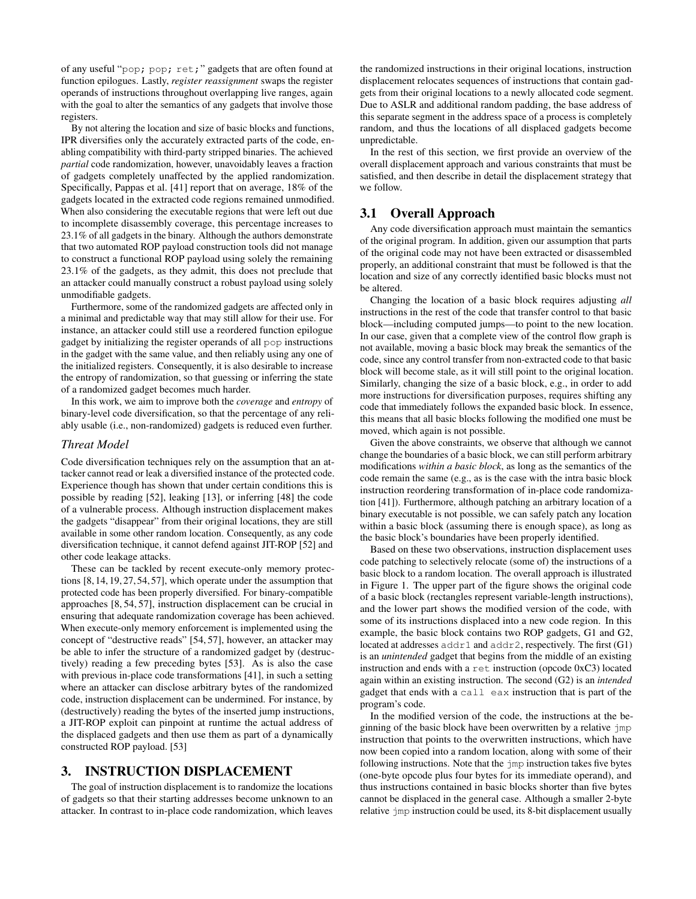of any useful "pop; pop; ret;" gadgets that are often found at function epilogues. Lastly, *register reassignment* swaps the register operands of instructions throughout overlapping live ranges, again with the goal to alter the semantics of any gadgets that involve those registers.

By not altering the location and size of basic blocks and functions, IPR diversifies only the accurately extracted parts of the code, enabling compatibility with third-party stripped binaries. The achieved *partial* code randomization, however, unavoidably leaves a fraction of gadgets completely unaffected by the applied randomization. Specifically, Pappas et al. [\[41\]](#page-11-12) report that on average, 18% of the gadgets located in the extracted code regions remained unmodified. When also considering the executable regions that were left out due to incomplete disassembly coverage, this percentage increases to 23.1% of all gadgets in the binary. Although the authors demonstrate that two automated ROP payload construction tools did not manage to construct a functional ROP payload using solely the remaining 23.1% of the gadgets, as they admit, this does not preclude that an attacker could manually construct a robust payload using solely unmodifiable gadgets.

Furthermore, some of the randomized gadgets are affected only in a minimal and predictable way that may still allow for their use. For instance, an attacker could still use a reordered function epilogue gadget by initializing the register operands of all pop instructions in the gadget with the same value, and then reliably using any one of the initialized registers. Consequently, it is also desirable to increase the entropy of randomization, so that guessing or inferring the state of a randomized gadget becomes much harder.

In this work, we aim to improve both the *coverage* and *entropy* of binary-level code diversification, so that the percentage of any reliably usable (i.e., non-randomized) gadgets is reduced even further.

#### *Threat Model*

Code diversification techniques rely on the assumption that an attacker cannot read or leak a diversified instance of the protected code. Experience though has shown that under certain conditions this is possible by reading [\[52\]](#page-11-14), leaking [\[13\]](#page-10-13), or inferring [\[48\]](#page-11-15) the code of a vulnerable process. Although instruction displacement makes the gadgets "disappear" from their original locations, they are still available in some other random location. Consequently, as any code diversification technique, it cannot defend against JIT-ROP [\[52\]](#page-11-14) and other code leakage attacks.

These can be tackled by recent execute-only memory protections [\[8,](#page-10-14) [14,](#page-10-17) [19,](#page-10-16) [27,](#page-10-15) [54,](#page-11-16) [57\]](#page-11-17), which operate under the assumption that protected code has been properly diversified. For binary-compatible approaches [\[8,](#page-10-14) [54,](#page-11-16) [57\]](#page-11-17), instruction displacement can be crucial in ensuring that adequate randomization coverage has been achieved. When execute-only memory enforcement is implemented using the concept of "destructive reads" [\[54,](#page-11-16) [57\]](#page-11-17), however, an attacker may be able to infer the structure of a randomized gadget by (destructively) reading a few preceding bytes [\[53\]](#page-11-20). As is also the case with previous in-place code transformations [\[41\]](#page-11-12), in such a setting where an attacker can disclose arbitrary bytes of the randomized code, instruction displacement can be undermined. For instance, by (destructively) reading the bytes of the inserted jump instructions, a JIT-ROP exploit can pinpoint at runtime the actual address of the displaced gadgets and then use them as part of a dynamically constructed ROP payload. [\[53\]](#page-11-20)

## 3. INSTRUCTION DISPLACEMENT

The goal of instruction displacement is to randomize the locations of gadgets so that their starting addresses become unknown to an attacker. In contrast to in-place code randomization, which leaves the randomized instructions in their original locations, instruction displacement relocates sequences of instructions that contain gadgets from their original locations to a newly allocated code segment. Due to ASLR and additional random padding, the base address of this separate segment in the address space of a process is completely random, and thus the locations of all displaced gadgets become unpredictable.

In the rest of this section, we first provide an overview of the overall displacement approach and various constraints that must be satisfied, and then describe in detail the displacement strategy that we follow.

## 3.1 Overall Approach

Any code diversification approach must maintain the semantics of the original program. In addition, given our assumption that parts of the original code may not have been extracted or disassembled properly, an additional constraint that must be followed is that the location and size of any correctly identified basic blocks must not be altered.

Changing the location of a basic block requires adjusting *all* instructions in the rest of the code that transfer control to that basic block—including computed jumps—to point to the new location. In our case, given that a complete view of the control flow graph is not available, moving a basic block may break the semantics of the code, since any control transfer from non-extracted code to that basic block will become stale, as it will still point to the original location. Similarly, changing the size of a basic block, e.g., in order to add more instructions for diversification purposes, requires shifting any code that immediately follows the expanded basic block. In essence, this means that all basic blocks following the modified one must be moved, which again is not possible.

Given the above constraints, we observe that although we cannot change the boundaries of a basic block, we can still perform arbitrary modifications *within a basic block*, as long as the semantics of the code remain the same (e.g., as is the case with the intra basic block instruction reordering transformation of in-place code randomization [\[41\]](#page-11-12)). Furthermore, although patching an arbitrary location of a binary executable is not possible, we can safely patch any location within a basic block (assuming there is enough space), as long as the basic block's boundaries have been properly identified.

Based on these two observations, instruction displacement uses code patching to selectively relocate (some of) the instructions of a basic block to a random location. The overall approach is illustrated in Figure [1.](#page-3-0) The upper part of the figure shows the original code of a basic block (rectangles represent variable-length instructions), and the lower part shows the modified version of the code, with some of its instructions displaced into a new code region. In this example, the basic block contains two ROP gadgets, G1 and G2, located at addresses  $addr1$  and  $addr2$ , respectively. The first (G1) is an *unintended* gadget that begins from the middle of an existing instruction and ends with a ret instruction (opcode 0xC3) located again within an existing instruction. The second (G2) is an *intended* gadget that ends with a call eax instruction that is part of the program's code.

In the modified version of the code, the instructions at the beginning of the basic block have been overwritten by a relative jmp instruction that points to the overwritten instructions, which have now been copied into a random location, along with some of their following instructions. Note that the jmp instruction takes five bytes (one-byte opcode plus four bytes for its immediate operand), and thus instructions contained in basic blocks shorter than five bytes cannot be displaced in the general case. Although a smaller 2-byte relative jmp instruction could be used, its 8-bit displacement usually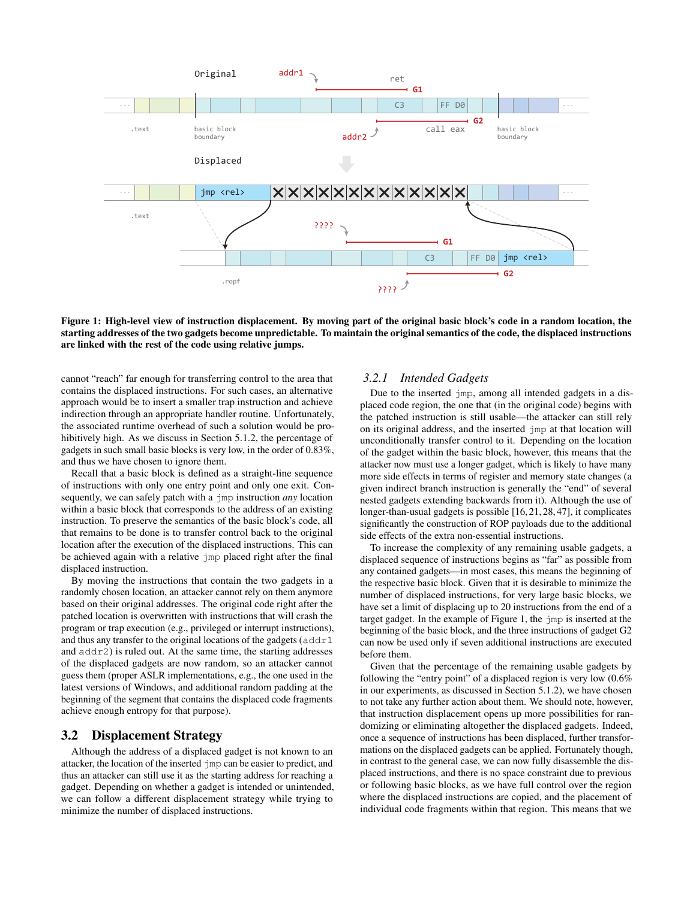

<span id="page-3-0"></span>Figure 1: High-level view of instruction displacement. By moving part of the original basic block's code in a random location, the starting addresses of the two gadgets become unpredictable. To maintain the original semantics of the code, the displaced instructions are linked with the rest of the code using relative jumps.

cannot "reach" far enough for transferring control to the area that contains the displaced instructions. For such cases, an alternative approach would be to insert a smaller trap instruction and achieve indirection through an appropriate handler routine. Unfortunately, the associated runtime overhead of such a solution would be prohibitively high. As we discuss in Section [5.1.2,](#page-7-0) the percentage of gadgets in such small basic blocks is very low, in the order of 0.83%, and thus we have chosen to ignore them.

Recall that a basic block is defined as a straight-line sequence of instructions with only one entry point and only one exit. Consequently, we can safely patch with a jmp instruction *any* location within a basic block that corresponds to the address of an existing instruction. To preserve the semantics of the basic block's code, all that remains to be done is to transfer control back to the original location after the execution of the displaced instructions. This can be achieved again with a relative jmp placed right after the final displaced instruction.

By moving the instructions that contain the two gadgets in a randomly chosen location, an attacker cannot rely on them anymore based on their original addresses. The original code right after the patched location is overwritten with instructions that will crash the program or trap execution (e.g., privileged or interrupt instructions), and thus any transfer to the original locations of the gadgets  $(\text{addr1})$ and  $addr2$ ) is ruled out. At the same time, the starting addresses of the displaced gadgets are now random, so an attacker cannot guess them (proper ASLR implementations, e.g., the one used in the latest versions of Windows, and additional random padding at the beginning of the segment that contains the displaced code fragments achieve enough entropy for that purpose).

## <span id="page-3-1"></span>3.2 Displacement Strategy

Although the address of a displaced gadget is not known to an attacker, the location of the inserted jmp can be easier to predict, and thus an attacker can still use it as the starting address for reaching a gadget. Depending on whether a gadget is intended or unintended, we can follow a different displacement strategy while trying to minimize the number of displaced instructions.

#### <span id="page-3-2"></span>*3.2.1 Intended Gadgets*

Due to the inserted jmp, among all intended gadgets in a displaced code region, the one that (in the original code) begins with the patched instruction is still usable—the attacker can still rely on its original address, and the inserted jmp at that location will unconditionally transfer control to it. Depending on the location of the gadget within the basic block, however, this means that the attacker now must use a longer gadget, which is likely to have many more side effects in terms of register and memory state changes (a given indirect branch instruction is generally the "end" of several nested gadgets extending backwards from it). Although the use of longer-than-usual gadgets is possible [\[16,](#page-10-2) [21,](#page-10-3) [28,](#page-10-5) [47\]](#page-11-2), it complicates significantly the construction of ROP payloads due to the additional side effects of the extra non-essential instructions.

To increase the complexity of any remaining usable gadgets, a displaced sequence of instructions begins as "far" as possible from any contained gadgets—in most cases, this means the beginning of the respective basic block. Given that it is desirable to minimize the number of displaced instructions, for very large basic blocks, we have set a limit of displacing up to 20 instructions from the end of a target gadget. In the example of Figure [1,](#page-3-0) the jmp is inserted at the beginning of the basic block, and the three instructions of gadget G2 can now be used only if seven additional instructions are executed before them.

Given that the percentage of the remaining usable gadgets by following the "entry point" of a displaced region is very low (0.6% in our experiments, as discussed in Section [5.1.2\)](#page-7-0), we have chosen to not take any further action about them. We should note, however, that instruction displacement opens up more possibilities for randomizing or eliminating altogether the displaced gadgets. Indeed, once a sequence of instructions has been displaced, further transformations on the displaced gadgets can be applied. Fortunately though, in contrast to the general case, we can now fully disassemble the displaced instructions, and there is no space constraint due to previous or following basic blocks, as we have full control over the region where the displaced instructions are copied, and the placement of individual code fragments within that region. This means that we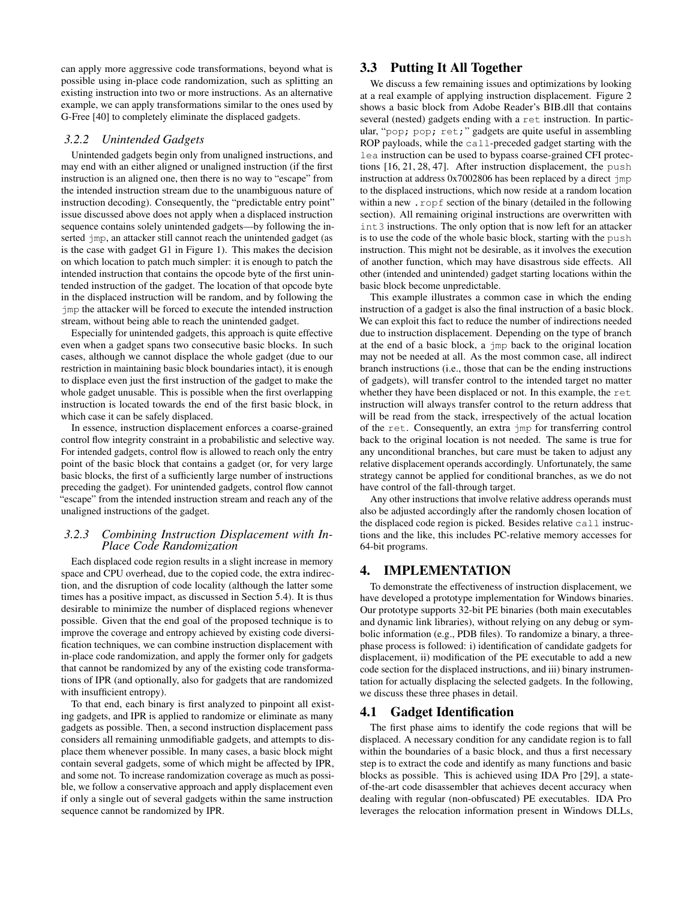can apply more aggressive code transformations, beyond what is possible using in-place code randomization, such as splitting an existing instruction into two or more instructions. As an alternative example, we can apply transformations similar to the ones used by G-Free [\[40\]](#page-11-21) to completely eliminate the displaced gadgets.

#### *3.2.2 Unintended Gadgets*

Unintended gadgets begin only from unaligned instructions, and may end with an either aligned or unaligned instruction (if the first instruction is an aligned one, then there is no way to "escape" from the intended instruction stream due to the unambiguous nature of instruction decoding). Consequently, the "predictable entry point" issue discussed above does not apply when a displaced instruction sequence contains solely unintended gadgets—by following the inserted jmp, an attacker still cannot reach the unintended gadget (as is the case with gadget G1 in Figure [1\)](#page-3-0). This makes the decision on which location to patch much simpler: it is enough to patch the intended instruction that contains the opcode byte of the first unintended instruction of the gadget. The location of that opcode byte in the displaced instruction will be random, and by following the jmp the attacker will be forced to execute the intended instruction stream, without being able to reach the unintended gadget.

Especially for unintended gadgets, this approach is quite effective even when a gadget spans two consecutive basic blocks. In such cases, although we cannot displace the whole gadget (due to our restriction in maintaining basic block boundaries intact), it is enough to displace even just the first instruction of the gadget to make the whole gadget unusable. This is possible when the first overlapping instruction is located towards the end of the first basic block, in which case it can be safely displaced.

In essence, instruction displacement enforces a coarse-grained control flow integrity constraint in a probabilistic and selective way. For intended gadgets, control flow is allowed to reach only the entry point of the basic block that contains a gadget (or, for very large basic blocks, the first of a sufficiently large number of instructions preceding the gadget). For unintended gadgets, control flow cannot "escape" from the intended instruction stream and reach any of the unaligned instructions of the gadget.

#### <span id="page-4-0"></span>*3.2.3 Combining Instruction Displacement with In-Place Code Randomization*

Each displaced code region results in a slight increase in memory space and CPU overhead, due to the copied code, the extra indirection, and the disruption of code locality (although the latter some times has a positive impact, as discussed in Section [5.4\)](#page-8-0). It is thus desirable to minimize the number of displaced regions whenever possible. Given that the end goal of the proposed technique is to improve the coverage and entropy achieved by existing code diversification techniques, we can combine instruction displacement with in-place code randomization, and apply the former only for gadgets that cannot be randomized by any of the existing code transformations of IPR (and optionally, also for gadgets that are randomized with insufficient entropy).

To that end, each binary is first analyzed to pinpoint all existing gadgets, and IPR is applied to randomize or eliminate as many gadgets as possible. Then, a second instruction displacement pass considers all remaining unmodifiable gadgets, and attempts to displace them whenever possible. In many cases, a basic block might contain several gadgets, some of which might be affected by IPR, and some not. To increase randomization coverage as much as possible, we follow a conservative approach and apply displacement even if only a single out of several gadgets within the same instruction sequence cannot be randomized by IPR.

## 3.3 Putting It All Together

We discuss a few remaining issues and optimizations by looking at a real example of applying instruction displacement. Figure [2](#page-5-0) shows a basic block from Adobe Reader's BIB.dll that contains several (nested) gadgets ending with a ret instruction. In particular, "pop; pop; ret;" gadgets are quite useful in assembling ROP payloads, while the call-preceded gadget starting with the lea instruction can be used to bypass coarse-grained CFI protections [\[16,](#page-10-2) [21,](#page-10-3) [28,](#page-10-5) [47\]](#page-11-2). After instruction displacement, the push instruction at address 0x7002806 has been replaced by a direct jmp to the displaced instructions, which now reside at a random location within a new ropf section of the binary (detailed in the following section). All remaining original instructions are overwritten with int3 instructions. The only option that is now left for an attacker is to use the code of the whole basic block, starting with the push instruction. This might not be desirable, as it involves the execution of another function, which may have disastrous side effects. All other (intended and unintended) gadget starting locations within the basic block become unpredictable.

This example illustrates a common case in which the ending instruction of a gadget is also the final instruction of a basic block. We can exploit this fact to reduce the number of indirections needed due to instruction displacement. Depending on the type of branch at the end of a basic block, a jmp back to the original location may not be needed at all. As the most common case, all indirect branch instructions (i.e., those that can be the ending instructions of gadgets), will transfer control to the intended target no matter whether they have been displaced or not. In this example, the ret instruction will always transfer control to the return address that will be read from the stack, irrespectively of the actual location of the ret. Consequently, an extra jmp for transferring control back to the original location is not needed. The same is true for any unconditional branches, but care must be taken to adjust any relative displacement operands accordingly. Unfortunately, the same strategy cannot be applied for conditional branches, as we do not have control of the fall-through target.

Any other instructions that involve relative address operands must also be adjusted accordingly after the randomly chosen location of the displaced code region is picked. Besides relative call instructions and the like, this includes PC-relative memory accesses for 64-bit programs.

## 4. IMPLEMENTATION

To demonstrate the effectiveness of instruction displacement, we have developed a prototype implementation for Windows binaries. Our prototype supports 32-bit PE binaries (both main executables and dynamic link libraries), without relying on any debug or symbolic information (e.g., PDB files). To randomize a binary, a threephase process is followed: i) identification of candidate gadgets for displacement, ii) modification of the PE executable to add a new code section for the displaced instructions, and iii) binary instrumentation for actually displacing the selected gadgets. In the following, we discuss these three phases in detail.

#### 4.1 Gadget Identification

The first phase aims to identify the code regions that will be displaced. A necessary condition for any candidate region is to fall within the boundaries of a basic block, and thus a first necessary step is to extract the code and identify as many functions and basic blocks as possible. This is achieved using IDA Pro [\[29\]](#page-11-22), a stateof-the-art code disassembler that achieves decent accuracy when dealing with regular (non-obfuscated) PE executables. IDA Pro leverages the relocation information present in Windows DLLs,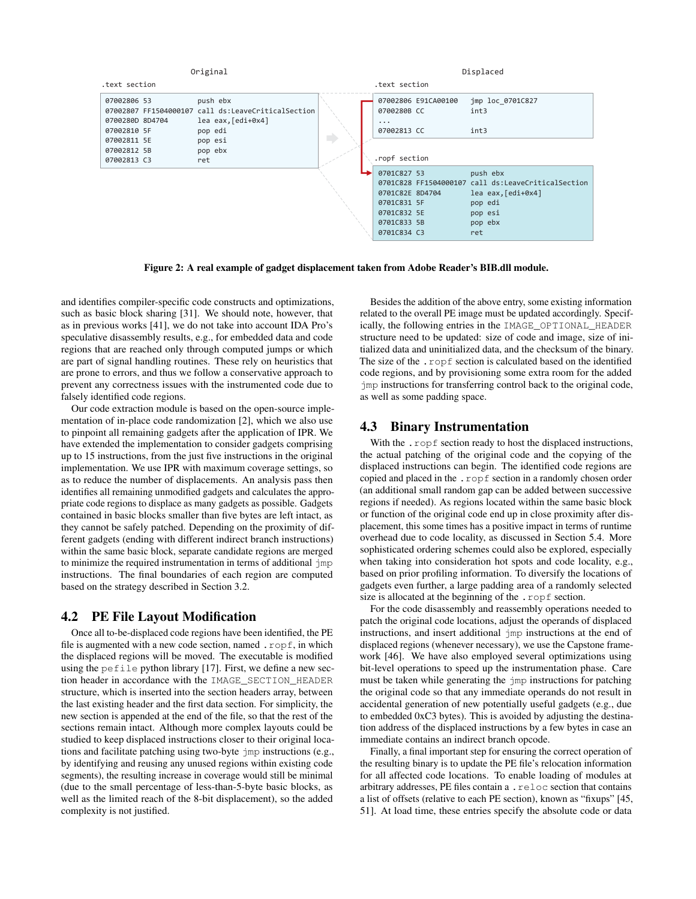

<span id="page-5-0"></span>Figure 2: A real example of gadget displacement taken from Adobe Reader's BIB.dll module.

and identifies compiler-specific code constructs and optimizations, such as basic block sharing [\[31\]](#page-11-23). We should note, however, that as in previous works [\[41\]](#page-11-12), we do not take into account IDA Pro's speculative disassembly results, e.g., for embedded data and code regions that are reached only through computed jumps or which are part of signal handling routines. These rely on heuristics that are prone to errors, and thus we follow a conservative approach to prevent any correctness issues with the instrumented code due to falsely identified code regions.

Our code extraction module is based on the open-source implementation of in-place code randomization [\[2\]](#page-10-22), which we also use to pinpoint all remaining gadgets after the application of IPR. We have extended the implementation to consider gadgets comprising up to 15 instructions, from the just five instructions in the original implementation. We use IPR with maximum coverage settings, so as to reduce the number of displacements. An analysis pass then identifies all remaining unmodified gadgets and calculates the appropriate code regions to displace as many gadgets as possible. Gadgets contained in basic blocks smaller than five bytes are left intact, as they cannot be safely patched. Depending on the proximity of different gadgets (ending with different indirect branch instructions) within the same basic block, separate candidate regions are merged to minimize the required instrumentation in terms of additional jmp instructions. The final boundaries of each region are computed based on the strategy described in Section [3.2.](#page-3-1)

## 4.2 PE File Layout Modification

Once all to-be-displaced code regions have been identified, the PE file is augmented with a new code section, named . ropf, in which the displaced regions will be moved. The executable is modified using the pefile python library [\[17\]](#page-10-23). First, we define a new section header in accordance with the IMAGE\_SECTION\_HEADER structure, which is inserted into the section headers array, between the last existing header and the first data section. For simplicity, the new section is appended at the end of the file, so that the rest of the sections remain intact. Although more complex layouts could be studied to keep displaced instructions closer to their original locations and facilitate patching using two-byte jmp instructions (e.g., by identifying and reusing any unused regions within existing code segments), the resulting increase in coverage would still be minimal (due to the small percentage of less-than-5-byte basic blocks, as well as the limited reach of the 8-bit displacement), so the added complexity is not justified.

Besides the addition of the above entry, some existing information related to the overall PE image must be updated accordingly. Specifically, the following entries in the IMAGE\_OPTIONAL\_HEADER structure need to be updated: size of code and image, size of initialized data and uninitialized data, and the checksum of the binary. The size of the .ropf section is calculated based on the identified code regions, and by provisioning some extra room for the added jmp instructions for transferring control back to the original code, as well as some padding space.

## 4.3 Binary Instrumentation

With the . ropf section ready to host the displaced instructions, the actual patching of the original code and the copying of the displaced instructions can begin. The identified code regions are copied and placed in the .ropf section in a randomly chosen order (an additional small random gap can be added between successive regions if needed). As regions located within the same basic block or function of the original code end up in close proximity after displacement, this some times has a positive impact in terms of runtime overhead due to code locality, as discussed in Section [5.4.](#page-8-0) More sophisticated ordering schemes could also be explored, especially when taking into consideration hot spots and code locality, e.g., based on prior profiling information. To diversify the locations of gadgets even further, a large padding area of a randomly selected size is allocated at the beginning of the . ropf section.

For the code disassembly and reassembly operations needed to patch the original code locations, adjust the operands of displaced instructions, and insert additional jmp instructions at the end of displaced regions (whenever necessary), we use the Capstone framework [\[46\]](#page-11-24). We have also employed several optimizations using bit-level operations to speed up the instrumentation phase. Care must be taken while generating the jmp instructions for patching the original code so that any immediate operands do not result in accidental generation of new potentially useful gadgets (e.g., due to embedded 0xC3 bytes). This is avoided by adjusting the destination address of the displaced instructions by a few bytes in case an immediate contains an indirect branch opcode.

Finally, a final important step for ensuring the correct operation of the resulting binary is to update the PE file's relocation information for all affected code locations. To enable loading of modules at arbitrary addresses, PE files contain a .reloc section that contains a list of offsets (relative to each PE section), known as "fixups" [\[45,](#page-11-25) [51\]](#page-11-26). At load time, these entries specify the absolute code or data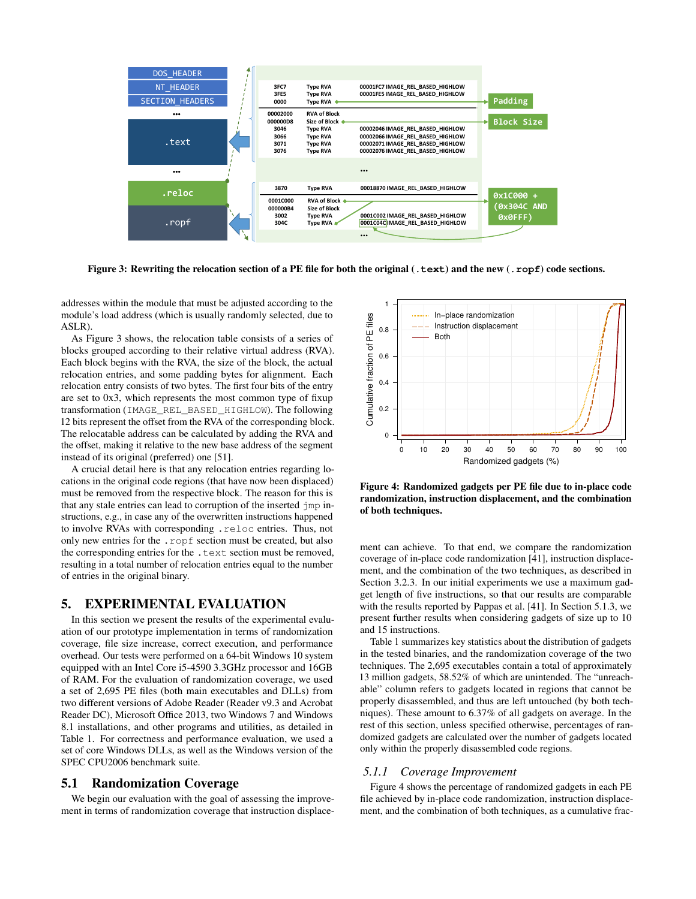

<span id="page-6-0"></span>Figure 3: Rewriting the relocation section of a PE file for both the original (**.text**) and the new (**.ropf**) code sections.

addresses within the module that must be adjusted according to the module's load address (which is usually randomly selected, due to ASLR).

As Figure [3](#page-6-0) shows, the relocation table consists of a series of blocks grouped according to their relative virtual address (RVA). Each block begins with the RVA, the size of the block, the actual relocation entries, and some padding bytes for alignment. Each relocation entry consists of two bytes. The first four bits of the entry are set to 0x3, which represents the most common type of fixup transformation (IMAGE\_REL\_BASED\_HIGHLOW). The following 12 bits represent the offset from the RVA of the corresponding block. The relocatable address can be calculated by adding the RVA and the offset, making it relative to the new base address of the segment instead of its original (preferred) one [\[51\]](#page-11-26).

A crucial detail here is that any relocation entries regarding locations in the original code regions (that have now been displaced) must be removed from the respective block. The reason for this is that any stale entries can lead to corruption of the inserted jmp instructions, e.g., in case any of the overwritten instructions happened to involve RVAs with corresponding .reloc entries. Thus, not only new entries for the .ropf section must be created, but also the corresponding entries for the .text section must be removed, resulting in a total number of relocation entries equal to the number of entries in the original binary.

#### 5. EXPERIMENTAL EVALUATION

In this section we present the results of the experimental evaluation of our prototype implementation in terms of randomization coverage, file size increase, correct execution, and performance overhead. Our tests were performed on a 64-bit Windows 10 system equipped with an Intel Core i5-4590 3.3GHz processor and 16GB of RAM. For the evaluation of randomization coverage, we used a set of 2,695 PE files (both main executables and DLLs) from two different versions of Adobe Reader (Reader v9.3 and Acrobat Reader DC), Microsoft Office 2013, two Windows 7 and Windows 8.1 installations, and other programs and utilities, as detailed in Table [1.](#page-7-1) For correctness and performance evaluation, we used a set of core Windows DLLs, as well as the Windows version of the SPEC CPU2006 benchmark suite.

#### 5.1 Randomization Coverage

We begin our evaluation with the goal of assessing the improvement in terms of randomization coverage that instruction displace-



<span id="page-6-1"></span>Figure 4: Randomized gadgets per PE file due to in-place code randomization, instruction displacement, and the combination of both techniques.

ment can achieve. To that end, we compare the randomization coverage of in-place code randomization [\[41\]](#page-11-12), instruction displacement, and the combination of the two techniques, as described in Section [3.2.3.](#page-4-0) In our initial experiments we use a maximum gadget length of five instructions, so that our results are comparable with the results reported by Pappas et al. [\[41\]](#page-11-12). In Section [5.1.3,](#page-7-2) we present further results when considering gadgets of size up to 10 and 15 instructions.

Table [1](#page-7-1) summarizes key statistics about the distribution of gadgets in the tested binaries, and the randomization coverage of the two techniques. The 2,695 executables contain a total of approximately 13 million gadgets, 58.52% of which are unintended. The "unreachable" column refers to gadgets located in regions that cannot be properly disassembled, and thus are left untouched (by both techniques). These amount to 6.37% of all gadgets on average. In the rest of this section, unless specified otherwise, percentages of randomized gadgets are calculated over the number of gadgets located only within the properly disassembled code regions.

#### *5.1.1 Coverage Improvement*

Figure [4](#page-6-1) shows the percentage of randomized gadgets in each PE file achieved by in-place code randomization, instruction displacement, and the combination of both techniques, as a cumulative frac-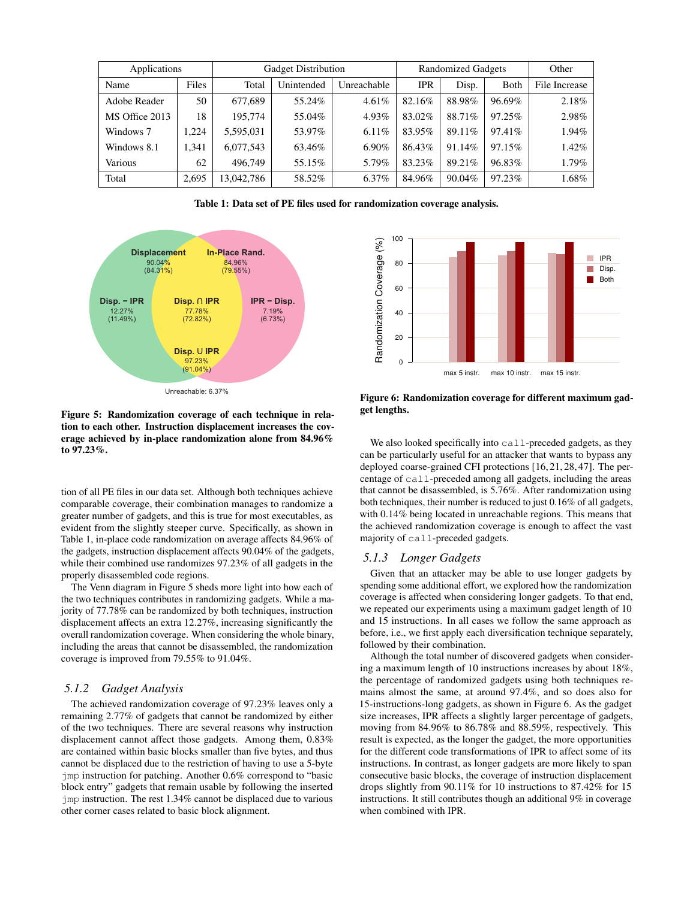| Applications   |       | <b>Gadget Distribution</b> |            |             | <b>Randomized Gadgets</b> |         |        | Other         |
|----------------|-------|----------------------------|------------|-------------|---------------------------|---------|--------|---------------|
| Name           | Files | Total                      | Unintended | Unreachable | <b>IPR</b>                | Disp.   | Both   | File Increase |
| Adobe Reader   | 50    | 677,689                    | 55.24%     | 4.61%       | 82.16%                    | 88.98%  | 96.69% | 2.18%         |
| MS Office 2013 | 18    | 195,774                    | 55.04%     | 4.93%       | 83.02%                    | 88.71%  | 97.25% | 2.98%         |
| Windows 7      | 1.224 | 5,595,031                  | 53.97%     | 6.11%       | 83.95%                    | 89.11\% | 97.41% | 1.94%         |
| Windows 8.1    | 1,341 | 6,077,543                  | 63.46%     | $6.90\%$    | 86.43%                    | 91.14%  | 97.15% | 1.42%         |
| Various        | 62    | 496.749                    | 55.15%     | 5.79%       | 83.23%                    | 89.21%  | 96.83% | 1.79%         |
| Total          | 2,695 | 13,042,786                 | 58.52%     | 6.37%       | 84.96%                    | 90.04%  | 97.23% | $1.68\%$      |

<span id="page-7-1"></span>Table 1: Data set of PE files used for randomization coverage analysis.



<span id="page-7-3"></span>Figure 5: Randomization coverage of each technique in relation to each other. Instruction displacement increases the coverage achieved by in-place randomization alone from 84.96%

tion of all PE files in our data set. Although both techniques achieve comparable coverage, their combination manages to randomize a greater number of gadgets, and this is true for most executables, as evident from the slightly steeper curve. Specifically, as shown in Table [1,](#page-7-1) in-place code randomization on average affects 84.96% of the gadgets, instruction displacement affects 90.04% of the gadgets, while their combined use randomizes 97.23% of all gadgets in the properly disassembled code regions.

The Venn diagram in Figure [5](#page-7-3) sheds more light into how each of the two techniques contributes in randomizing gadgets. While a majority of 77.78% can be randomized by both techniques, instruction displacement affects an extra 12.27%, increasing significantly the overall randomization coverage. When considering the whole binary, including the areas that cannot be disassembled, the randomization coverage is improved from 79.55% to 91.04%.

#### <span id="page-7-0"></span>*5.1.2 Gadget Analysis*

to 97.23%.

The achieved randomization coverage of 97.23% leaves only a remaining 2.77% of gadgets that cannot be randomized by either of the two techniques. There are several reasons why instruction displacement cannot affect those gadgets. Among them, 0.83% are contained within basic blocks smaller than five bytes, and thus cannot be displaced due to the restriction of having to use a 5-byte jmp instruction for patching. Another 0.6% correspond to "basic block entry" gadgets that remain usable by following the inserted jmp instruction. The rest 1.34% cannot be displaced due to various other corner cases related to basic block alignment.



<span id="page-7-4"></span>Figure 6: Randomization coverage for different maximum gadget lengths.

We also looked specifically into call-preceded gadgets, as they can be particularly useful for an attacker that wants to bypass any deployed coarse-grained CFI protections [\[16,](#page-10-2) [21,](#page-10-3) [28,](#page-10-5) [47\]](#page-11-2). The percentage of call-preceded among all gadgets, including the areas that cannot be disassembled, is 5.76%. After randomization using both techniques, their number is reduced to just 0.16% of all gadgets, with 0.14% being located in unreachable regions. This means that the achieved randomization coverage is enough to affect the vast majority of call-preceded gadgets.

#### <span id="page-7-2"></span>*5.1.3 Longer Gadgets*

Given that an attacker may be able to use longer gadgets by spending some additional effort, we explored how the randomization coverage is affected when considering longer gadgets. To that end, we repeated our experiments using a maximum gadget length of 10 and 15 instructions. In all cases we follow the same approach as before, i.e., we first apply each diversification technique separately, followed by their combination.

Although the total number of discovered gadgets when considering a maximum length of 10 instructions increases by about 18%, the percentage of randomized gadgets using both techniques remains almost the same, at around 97.4%, and so does also for 15-instructions-long gadgets, as shown in Figure [6.](#page-7-4) As the gadget size increases, IPR affects a slightly larger percentage of gadgets, moving from 84.96% to 86.78% and 88.59%, respectively. This result is expected, as the longer the gadget, the more opportunities for the different code transformations of IPR to affect some of its instructions. In contrast, as longer gadgets are more likely to span consecutive basic blocks, the coverage of instruction displacement drops slightly from 90.11% for 10 instructions to 87.42% for 15 instructions. It still contributes though an additional 9% in coverage when combined with IPR.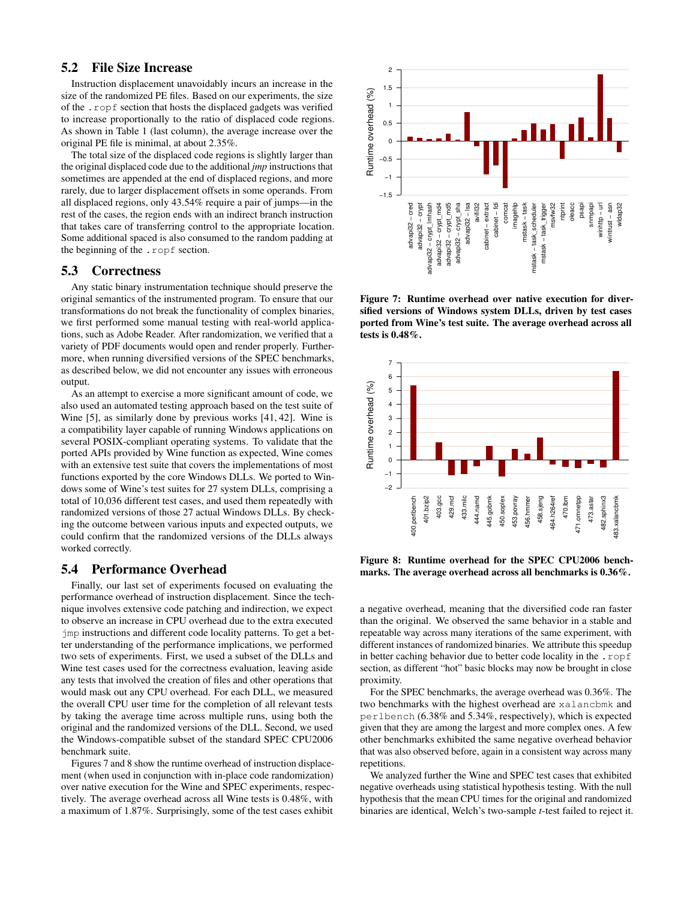# 5.2 File Size Increase

Instruction displacement unavoidably incurs an increase in the size of the randomized PE files. Based on our experiments, the size of the .ropf section that hosts the displaced gadgets was verified to increase proportionally to the ratio of displaced code regions. As shown in Table [1](#page-7-1) (last column), the average increase over the original PE file is minimal, at about 2.35%.

The total size of the displaced code regions is slightly larger than the original displaced code due to the additional *jmp* instructions that sometimes are appended at the end of displaced regions, and more rarely, due to larger displacement offsets in some operands. From all displaced regions, only 43.54% require a pair of jumps—in the rest of the cases, the region ends with an indirect branch instruction that takes care of transferring control to the appropriate location. Some additional spaced is also consumed to the random padding at the beginning of the .ropf section.

#### 5.3 Correctness

Any static binary instrumentation technique should preserve the original semantics of the instrumented program. To ensure that our transformations do not break the functionality of complex binaries, we first performed some manual testing with real-world applications, such as Adobe Reader. After randomization, we verified that a variety of PDF documents would open and render properly. Furthermore, when running diversified versions of the SPEC benchmarks, as described below, we did not encounter any issues with erroneous output.

As an attempt to exercise a more significant amount of code, we also used an automated testing approach based on the test suite of Wine [\[5\]](#page-10-24), as similarly done by previous works [\[41,](#page-11-12) [42\]](#page-11-27). Wine is a compatibility layer capable of running Windows applications on several POSIX-compliant operating systems. To validate that the ported APIs provided by Wine function as expected, Wine comes with an extensive test suite that covers the implementations of most functions exported by the core Windows DLLs. We ported to Windows some of Wine's test suites for 27 system DLLs, comprising a total of 10,036 different test cases, and used them repeatedly with randomized versions of those 27 actual Windows DLLs. By checking the outcome between various inputs and expected outputs, we could confirm that the randomized versions of the DLLs always worked correctly.

#### <span id="page-8-0"></span>5.4 Performance Overhead

Finally, our last set of experiments focused on evaluating the performance overhead of instruction displacement. Since the technique involves extensive code patching and indirection, we expect to observe an increase in CPU overhead due to the extra executed jmp instructions and different code locality patterns. To get a better understanding of the performance implications, we performed two sets of experiments. First, we used a subset of the DLLs and Wine test cases used for the correctness evaluation, leaving aside any tests that involved the creation of files and other operations that would mask out any CPU overhead. For each DLL, we measured the overall CPU user time for the completion of all relevant tests by taking the average time across multiple runs, using both the original and the randomized versions of the DLL. Second, we used the Windows-compatible subset of the standard SPEC CPU2006 benchmark suite.

Figures [7](#page-8-1) and [8](#page-8-2) show the runtime overhead of instruction displacement (when used in conjunction with in-place code randomization) over native execution for the Wine and SPEC experiments, respectively. The average overhead across all Wine tests is 0.48%, with



<span id="page-8-1"></span>Figure 7: Runtime overhead over native execution for diversified versions of Windows system DLLs, driven by test cases ported from Wine's test suite. The average overhead across all tests is 0.48%.



<span id="page-8-2"></span>Figure 8: Runtime overhead for the SPEC CPU2006 benchmarks. The average overhead across all benchmarks is 0.36%.

a negative overhead, meaning that the diversified code ran faster than the original. We observed the same behavior in a stable and repeatable way across many iterations of the same experiment, with different instances of randomized binaries. We attribute this speedup in better caching behavior due to better code locality in the . ropf section, as different "hot" basic blocks may now be brought in close proximity.

For the SPEC benchmarks, the average overhead was 0.36%. The two benchmarks with the highest overhead are xalancbmk and perlbench (6.38% and 5.34%, respectively), which is expected given that they are among the largest and more complex ones. A few other benchmarks exhibited the same negative overhead behavior that was also observed before, again in a consistent way across many repetitions.

We analyzed further the Wine and SPEC test cases that exhibited negative overheads using statistical hypothesis testing. With the null hypothesis that the mean CPU times for the original and randomized binaries are identical, Welch's two-sample *t*-test failed to reject it.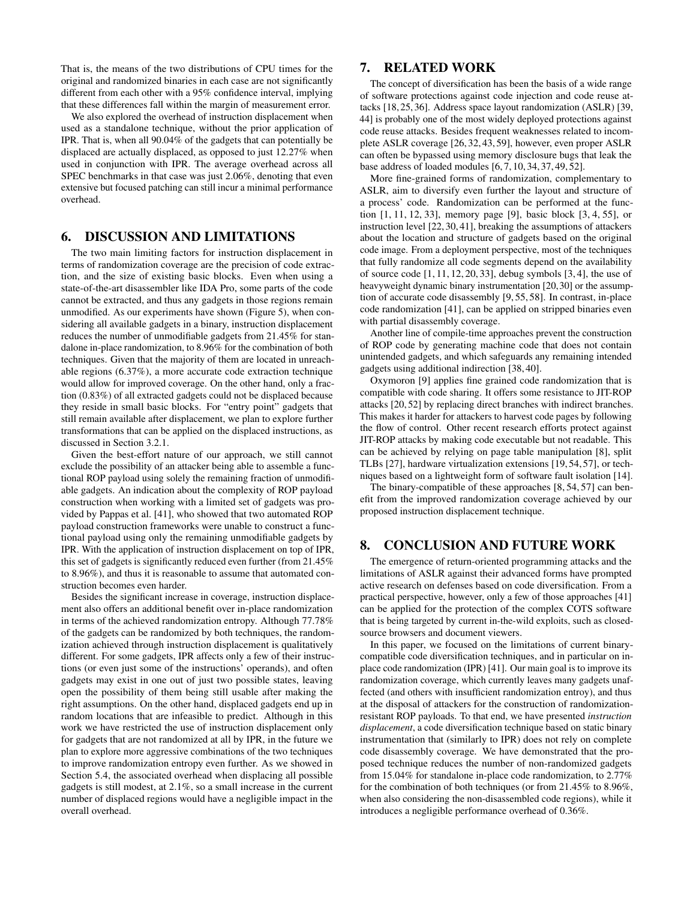That is, the means of the two distributions of CPU times for the original and randomized binaries in each case are not significantly different from each other with a 95% confidence interval, implying that these differences fall within the margin of measurement error.

We also explored the overhead of instruction displacement when used as a standalone technique, without the prior application of IPR. That is, when all 90.04% of the gadgets that can potentially be displaced are actually displaced, as opposed to just 12.27% when used in conjunction with IPR. The average overhead across all SPEC benchmarks in that case was just 2.06%, denoting that even extensive but focused patching can still incur a minimal performance overhead.

# 6. DISCUSSION AND LIMITATIONS

The two main limiting factors for instruction displacement in terms of randomization coverage are the precision of code extraction, and the size of existing basic blocks. Even when using a state-of-the-art disassembler like IDA Pro, some parts of the code cannot be extracted, and thus any gadgets in those regions remain unmodified. As our experiments have shown (Figure [5\)](#page-7-3), when considering all available gadgets in a binary, instruction displacement reduces the number of unmodifiable gadgets from 21.45% for standalone in-place randomization, to 8.96% for the combination of both techniques. Given that the majority of them are located in unreachable regions (6.37%), a more accurate code extraction technique would allow for improved coverage. On the other hand, only a fraction (0.83%) of all extracted gadgets could not be displaced because they reside in small basic blocks. For "entry point" gadgets that still remain available after displacement, we plan to explore further transformations that can be applied on the displaced instructions, as discussed in Section [3.2.1.](#page-3-2)

Given the best-effort nature of our approach, we still cannot exclude the possibility of an attacker being able to assemble a functional ROP payload using solely the remaining fraction of unmodifiable gadgets. An indication about the complexity of ROP payload construction when working with a limited set of gadgets was provided by Pappas et al. [\[41\]](#page-11-12), who showed that two automated ROP payload construction frameworks were unable to construct a functional payload using only the remaining unmodifiable gadgets by IPR. With the application of instruction displacement on top of IPR, this set of gadgets is significantly reduced even further (from 21.45% to 8.96%), and thus it is reasonable to assume that automated construction becomes even harder.

Besides the significant increase in coverage, instruction displacement also offers an additional benefit over in-place randomization in terms of the achieved randomization entropy. Although 77.78% of the gadgets can be randomized by both techniques, the randomization achieved through instruction displacement is qualitatively different. For some gadgets, IPR affects only a few of their instructions (or even just some of the instructions' operands), and often gadgets may exist in one out of just two possible states, leaving open the possibility of them being still usable after making the right assumptions. On the other hand, displaced gadgets end up in random locations that are infeasible to predict. Although in this work we have restricted the use of instruction displacement only for gadgets that are not randomized at all by IPR, in the future we plan to explore more aggressive combinations of the two techniques to improve randomization entropy even further. As we showed in Section [5.4,](#page-8-0) the associated overhead when displacing all possible gadgets is still modest, at 2.1%, so a small increase in the current number of displaced regions would have a negligible impact in the overall overhead.

# 7. RELATED WORK

The concept of diversification has been the basis of a wide range of software protections against code injection and code reuse attacks [\[18,](#page-10-25) [25,](#page-10-26) [36\]](#page-11-28). Address space layout randomization (ASLR) [\[39,](#page-11-29) [44\]](#page-11-3) is probably one of the most widely deployed protections against code reuse attacks. Besides frequent weaknesses related to incomplete ASLR coverage [\[26,](#page-10-6) [32,](#page-11-4) [43,](#page-11-5) [59\]](#page-11-6), however, even proper ASLR can often be bypassed using memory disclosure bugs that leak the base address of loaded modules [\[6,](#page-10-7) [7,](#page-10-8) [10,](#page-10-9) [34,](#page-11-7) [37,](#page-11-8) [49,](#page-11-9) [52\]](#page-11-14).

More fine-grained forms of randomization, complementary to ASLR, aim to diversify even further the layout and structure of a process' code. Randomization can be performed at the function [\[1,](#page-10-18) [11,](#page-10-10) [12,](#page-10-11) [33\]](#page-11-11), memory page [\[9\]](#page-10-27), basic block [\[3,](#page-10-19) [4,](#page-10-20) [55\]](#page-11-13), or instruction level [\[22,](#page-10-12) [30,](#page-11-10) [41\]](#page-11-12), breaking the assumptions of attackers about the location and structure of gadgets based on the original code image. From a deployment perspective, most of the techniques that fully randomize all code segments depend on the availability of source code [\[1,](#page-10-18) [11,](#page-10-10) [12,](#page-10-11) [20,](#page-10-21) [33\]](#page-11-11), debug symbols [\[3,](#page-10-19) [4\]](#page-10-20), the use of heavyweight dynamic binary instrumentation [\[20,](#page-10-21)[30\]](#page-11-10) or the assumption of accurate code disassembly [\[9,](#page-10-27) [55,](#page-11-13) [58\]](#page-11-18). In contrast, in-place code randomization [\[41\]](#page-11-12), can be applied on stripped binaries even with partial disassembly coverage.

Another line of compile-time approaches prevent the construction of ROP code by generating machine code that does not contain unintended gadgets, and which safeguards any remaining intended gadgets using additional indirection [\[38,](#page-11-30) [40\]](#page-11-21).

Oxymoron [\[9\]](#page-10-27) applies fine grained code randomization that is compatible with code sharing. It offers some resistance to JIT-ROP attacks [\[20,](#page-10-21) [52\]](#page-11-14) by replacing direct branches with indirect branches. This makes it harder for attackers to harvest code pages by following the flow of control. Other recent research efforts protect against JIT-ROP attacks by making code executable but not readable. This can be achieved by relying on page table manipulation [\[8\]](#page-10-14), split TLBs [\[27\]](#page-10-15), hardware virtualization extensions [\[19,](#page-10-16) [54,](#page-11-16) [57\]](#page-11-17), or techniques based on a lightweight form of software fault isolation [\[14\]](#page-10-17).

The binary-compatible of these approaches [\[8,](#page-10-14) [54,](#page-11-16) [57\]](#page-11-17) can benefit from the improved randomization coverage achieved by our proposed instruction displacement technique.

## 8. CONCLUSION AND FUTURE WORK

The emergence of return-oriented programming attacks and the limitations of ASLR against their advanced forms have prompted active research on defenses based on code diversification. From a practical perspective, however, only a few of those approaches [\[41\]](#page-11-12) can be applied for the protection of the complex COTS software that is being targeted by current in-the-wild exploits, such as closedsource browsers and document viewers.

In this paper, we focused on the limitations of current binarycompatible code diversification techniques, and in particular on inplace code randomization (IPR) [\[41\]](#page-11-12). Our main goal is to improve its randomization coverage, which currently leaves many gadgets unaffected (and others with insufficient randomization entroy), and thus at the disposal of attackers for the construction of randomizationresistant ROP payloads. To that end, we have presented *instruction displacement*, a code diversification technique based on static binary instrumentation that (similarly to IPR) does not rely on complete code disassembly coverage. We have demonstrated that the proposed technique reduces the number of non-randomized gadgets from 15.04% for standalone in-place code randomization, to 2.77% for the combination of both techniques (or from 21.45% to 8.96%, when also considering the non-disassembled code regions), while it introduces a negligible performance overhead of 0.36%.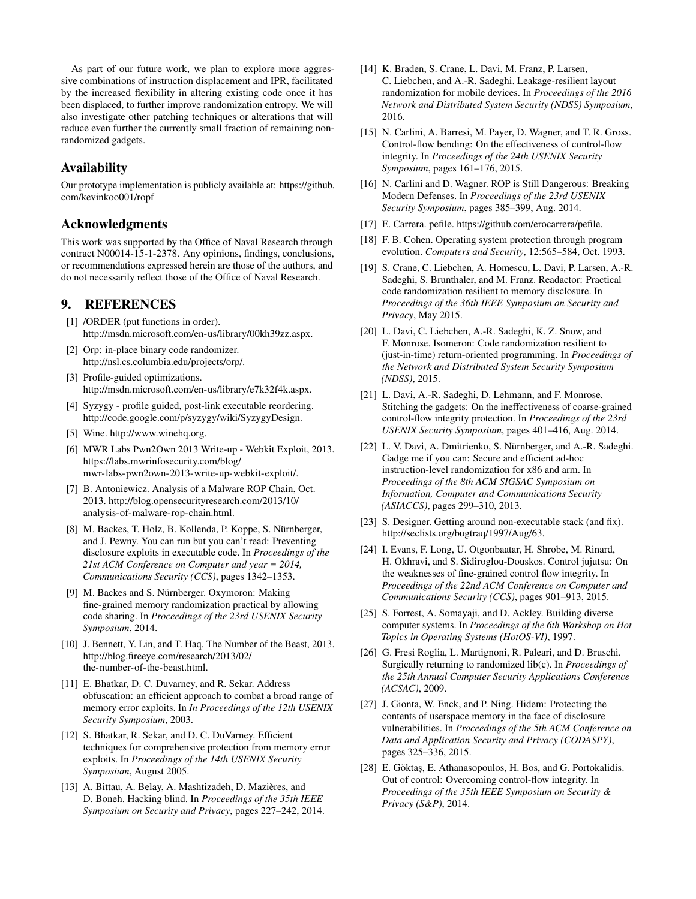As part of our future work, we plan to explore more aggressive combinations of instruction displacement and IPR, facilitated by the increased flexibility in altering existing code once it has been displaced, to further improve randomization entropy. We will also investigate other patching techniques or alterations that will reduce even further the currently small fraction of remaining nonrandomized gadgets.

## Availability

Our prototype implementation is publicly available at: https://github. com/kevinkoo001/ropf

## Acknowledgments

This work was supported by the Office of Naval Research through contract N00014-15-1-2378. Any opinions, findings, conclusions, or recommendations expressed herein are those of the authors, and do not necessarily reflect those of the Office of Naval Research.

## 9. REFERENCES

- <span id="page-10-18"></span>[1] /ORDER (put functions in order). http://msdn.microsoft.com/en-us/library/00kh39zz.aspx.
- <span id="page-10-22"></span>[2] Orp: in-place binary code randomizer. http://nsl.cs.columbia.edu/projects/orp/.
- <span id="page-10-19"></span>[3] Profile-guided optimizations. http://msdn.microsoft.com/en-us/library/e7k32f4k.aspx.
- <span id="page-10-20"></span>[4] Syzygy - profile guided, post-link executable reordering. http://code.google.com/p/syzygy/wiki/SyzygyDesign.
- <span id="page-10-24"></span>[5] Wine. http://www.winehq.org.
- <span id="page-10-7"></span>[6] MWR Labs Pwn2Own 2013 Write-up - Webkit Exploit, 2013. https://labs.mwrinfosecurity.com/blog/ mwr-labs-pwn2own-2013-write-up-webkit-exploit/.
- <span id="page-10-8"></span>[7] B. Antoniewicz. Analysis of a Malware ROP Chain, Oct. 2013. http://blog.opensecurityresearch.com/2013/10/ analysis-of-malware-rop-chain.html.
- <span id="page-10-14"></span>[8] M. Backes, T. Holz, B. Kollenda, P. Koppe, S. Nürnberger, and J. Pewny. You can run but you can't read: Preventing disclosure exploits in executable code. In *Proceedings of the 21st ACM Conference on Computer and year = 2014, Communications Security (CCS)*, pages 1342–1353.
- <span id="page-10-27"></span>[9] M. Backes and S. Nürnberger. Oxymoron: Making fine-grained memory randomization practical by allowing code sharing. In *Proceedings of the 23rd USENIX Security Symposium*, 2014.
- <span id="page-10-9"></span>[10] J. Bennett, Y. Lin, and T. Haq. The Number of the Beast, 2013. http://blog.fireeye.com/research/2013/02/ the-number-of-the-beast.html.
- <span id="page-10-10"></span>[11] E. Bhatkar, D. C. Duvarney, and R. Sekar. Address obfuscation: an efficient approach to combat a broad range of memory error exploits. In *In Proceedings of the 12th USENIX Security Symposium*, 2003.
- <span id="page-10-11"></span>[12] S. Bhatkar, R. Sekar, and D. C. DuVarney. Efficient techniques for comprehensive protection from memory error exploits. In *Proceedings of the 14th USENIX Security Symposium*, August 2005.
- <span id="page-10-13"></span>[13] A. Bittau, A. Belay, A. Mashtizadeh, D. Mazières, and D. Boneh. Hacking blind. In *Proceedings of the 35th IEEE Symposium on Security and Privacy*, pages 227–242, 2014.
- <span id="page-10-17"></span>[14] K. Braden, S. Crane, L. Davi, M. Franz, P. Larsen, C. Liebchen, and A.-R. Sadeghi. Leakage-resilient layout randomization for mobile devices. In *Proceedings of the 2016 Network and Distributed System Security (NDSS) Symposium*, 2016.
- <span id="page-10-1"></span>[15] N. Carlini, A. Barresi, M. Payer, D. Wagner, and T. R. Gross. Control-flow bending: On the effectiveness of control-flow integrity. In *Proceedings of the 24th USENIX Security Symposium*, pages 161–176, 2015.
- <span id="page-10-2"></span>[16] N. Carlini and D. Wagner. ROP is Still Dangerous: Breaking Modern Defenses. In *Proceedings of the 23rd USENIX Security Symposium*, pages 385–399, Aug. 2014.
- <span id="page-10-23"></span>[17] E. Carrera. pefile. https://github.com/erocarrera/pefile.
- <span id="page-10-25"></span>[18] F. B. Cohen. Operating system protection through program evolution. *Computers and Security*, 12:565–584, Oct. 1993.
- <span id="page-10-16"></span>[19] S. Crane, C. Liebchen, A. Homescu, L. Davi, P. Larsen, A.-R. Sadeghi, S. Brunthaler, and M. Franz. Readactor: Practical code randomization resilient to memory disclosure. In *Proceedings of the 36th IEEE Symposium on Security and Privacy*, May 2015.
- <span id="page-10-21"></span>[20] L. Davi, C. Liebchen, A.-R. Sadeghi, K. Z. Snow, and F. Monrose. Isomeron: Code randomization resilient to (just-in-time) return-oriented programming. In *Proceedings of the Network and Distributed System Security Symposium (NDSS)*, 2015.
- <span id="page-10-3"></span>[21] L. Davi, A.-R. Sadeghi, D. Lehmann, and F. Monrose. Stitching the gadgets: On the ineffectiveness of coarse-grained control-flow integrity protection. In *Proceedings of the 23rd USENIX Security Symposium*, pages 401–416, Aug. 2014.
- <span id="page-10-12"></span>[22] L. V. Davi, A. Dmitrienko, S. Nürnberger, and A.-R. Sadeghi. Gadge me if you can: Secure and efficient ad-hoc instruction-level randomization for x86 and arm. In *Proceedings of the 8th ACM SIGSAC Symposium on Information, Computer and Communications Security (ASIACCS)*, pages 299–310, 2013.
- <span id="page-10-0"></span>[23] S. Designer. Getting around non-executable stack (and fix). http://seclists.org/bugtraq/1997/Aug/63.
- <span id="page-10-4"></span>[24] I. Evans, F. Long, U. Otgonbaatar, H. Shrobe, M. Rinard, H. Okhravi, and S. Sidiroglou-Douskos. Control jujutsu: On the weaknesses of fine-grained control flow integrity. In *Proceedings of the 22nd ACM Conference on Computer and Communications Security (CCS)*, pages 901–913, 2015.
- <span id="page-10-26"></span>[25] S. Forrest, A. Somayaji, and D. Ackley. Building diverse computer systems. In *Proceedings of the 6th Workshop on Hot Topics in Operating Systems (HotOS-VI)*, 1997.
- <span id="page-10-6"></span>[26] G. Fresi Roglia, L. Martignoni, R. Paleari, and D. Bruschi. Surgically returning to randomized lib(c). In *Proceedings of the 25th Annual Computer Security Applications Conference (ACSAC)*, 2009.
- <span id="page-10-15"></span>[27] J. Gionta, W. Enck, and P. Ning. Hidem: Protecting the contents of userspace memory in the face of disclosure vulnerabilities. In *Proceedings of the 5th ACM Conference on Data and Application Security and Privacy (CODASPY)*, pages 325–336, 2015.
- <span id="page-10-5"></span>[28] E. Göktaş, E. Athanasopoulos, H. Bos, and G. Portokalidis. Out of control: Overcoming control-flow integrity. In *Proceedings of the 35th IEEE Symposium on Security & Privacy (S&P)*, 2014.